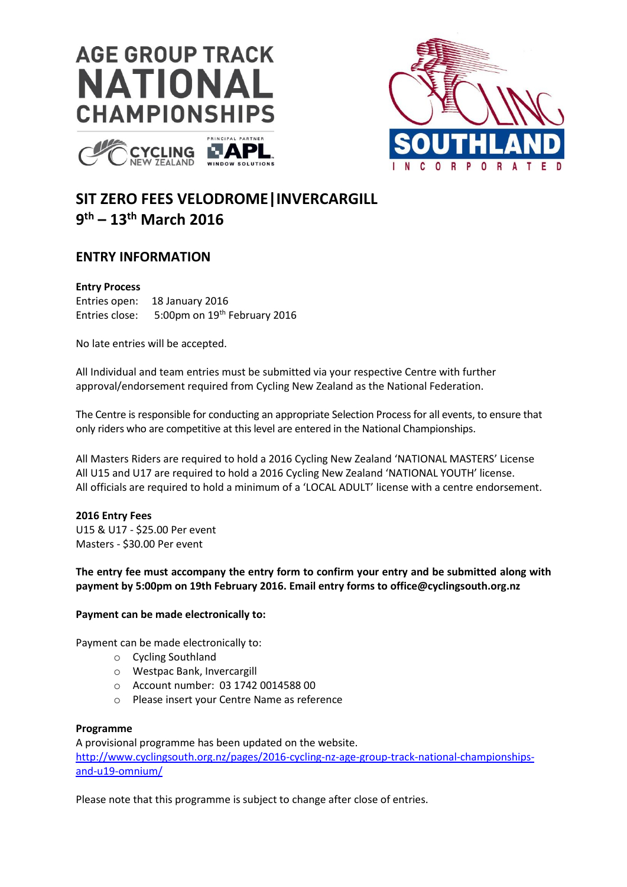





# **SIT ZERO FEES VELODROME|INVERCARGILL 9 th – 13th March 2016**

# **ENTRY INFORMATION**

### **Entry Process**

Entries open: 18 January 2016 Entries close: 5:00pm on 19<sup>th</sup> February 2016

No late entries will be accepted.

All Individual and team entries must be submitted via your respective Centre with further approval/endorsement required from Cycling New Zealand as the National Federation.

The Centre is responsible for conducting an appropriate Selection Process for all events, to ensure that only riders who are competitive at this level are entered in the National Championships.

All Masters Riders are required to hold a 2016 Cycling New Zealand 'NATIONAL MASTERS' License All U15 and U17 are required to hold a 2016 Cycling New Zealand 'NATIONAL YOUTH' license. All officials are required to hold a minimum of a 'LOCAL ADULT' license with a centre endorsement.

## **2016 Entry Fees**

U15 & U17 - \$25.00 Per event Masters - \$30.00 Per event

## **The entry fee must accompany the entry form to confirm your entry and be submitted along with payment by 5:00pm on 19th February 2016. Email entry forms to office@cyclingsouth.org.nz**

## **Payment can be made electronically to:**

Payment can be made electronically to:

- o Cycling Southland
- o Westpac Bank, Invercargill
- o Account number: 03 1742 0014588 00
- o Please insert your Centre Name as reference

### **Programme**

A provisional programme has been updated on the website. [http://www.cyclingsouth.org.nz/pages/2016-cycling-nz-age-group-track-national-championships](http://www.cyclingsouth.org.nz/pages/2016-cycling-nz-age-group-track-national-championships-and-u19-omnium/)[and-u19-omnium/](http://www.cyclingsouth.org.nz/pages/2016-cycling-nz-age-group-track-national-championships-and-u19-omnium/)

Please note that this programme is subject to change after close of entries.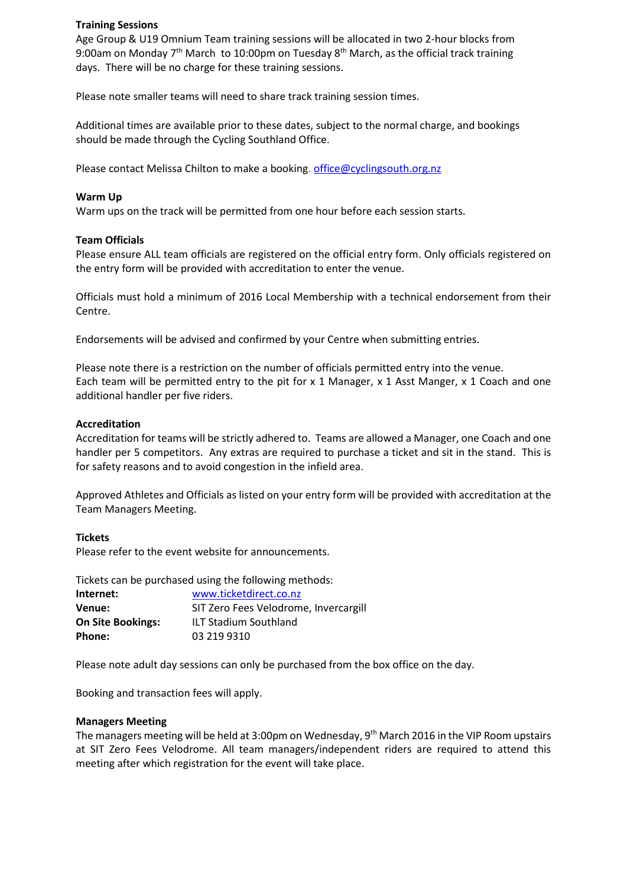#### **Training Sessions**

Age Group & U19 Omnium Team training sessions will be allocated in two 2-hour blocks from 9:00am on Monday  $7<sup>th</sup>$  March to 10:00pm on Tuesday  $8<sup>th</sup>$  March, as the official track training days. There will be no charge for these training sessions.

Please note smaller teams will need to share track training session times.

Additional times are available prior to these dates, subject to the normal charge, and bookings should be made through the Cycling Southland Office.

Please contact Melissa Chilton to make a booking. [office@cyclingsouth.org.nz](mailto:office@cyclingsouth.org.nz)

#### **Warm Up**

Warm ups on the track will be permitted from one hour before each session starts.

#### **Team Officials**

Please ensure ALL team officials are registered on the official entry form. Only officials registered on the entry form will be provided with accreditation to enter the venue.

Officials must hold a minimum of 2016 Local Membership with a technical endorsement from their Centre.

Endorsements will be advised and confirmed by your Centre when submitting entries.

Please note there is a restriction on the number of officials permitted entry into the venue. Each team will be permitted entry to the pit for x 1 Manager, x 1 Asst Manger, x 1 Coach and one additional handler per five riders.

#### **Accreditation**

Accreditation for teams will be strictly adhered to. Teams are allowed a Manager, one Coach and one handler per 5 competitors. Any extras are required to purchase a ticket and sit in the stand. This is for safety reasons and to avoid congestion in the infield area.

Approved Athletes and Officials as listed on your entry form will be provided with accreditation at the Team Managers Meeting.

#### **Tickets**

Please refer to the event website for announcements.

Tickets can be purchased using the following methods:

| Internet:                | www.ticketdirect.co.nz<br>SIT Zero Fees Velodrome, Invercargill |  |
|--------------------------|-----------------------------------------------------------------|--|
| Venue:                   |                                                                 |  |
| <b>On Site Bookings:</b> | <b>ILT Stadium Southland</b>                                    |  |
| Phone:                   | 03 219 9310                                                     |  |

Please note adult day sessions can only be purchased from the box office on the day.

Booking and transaction fees will apply.

#### **Managers Meeting**

The managers meeting will be held at 3:00pm on Wednesday, 9th March 2016 in the VIP Room upstairs at SIT Zero Fees Velodrome. All team managers/independent riders are required to attend this meeting after which registration for the event will take place.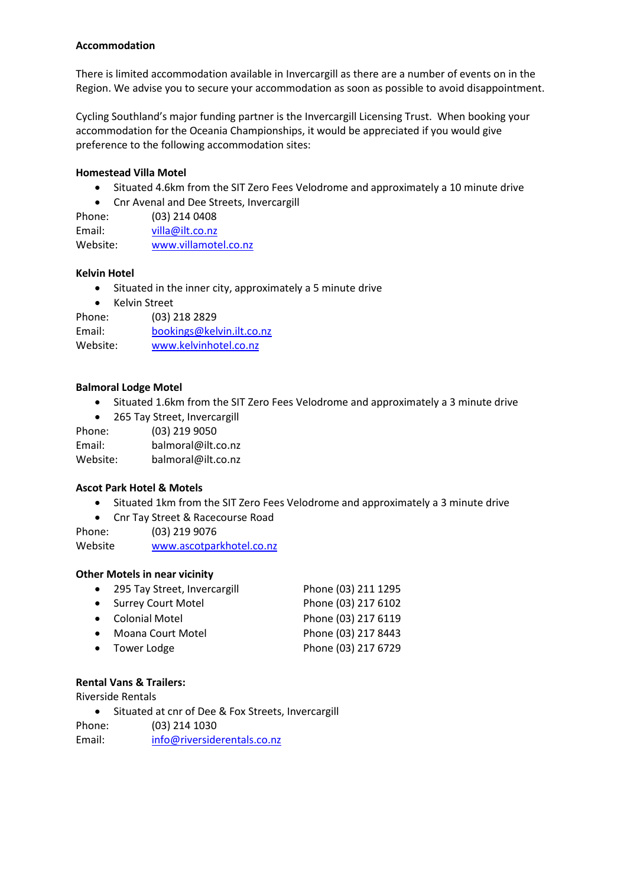## **Accommodation**

There is limited accommodation available in Invercargill as there are a number of events on in the Region. We advise you to secure your accommodation as soon as possible to avoid disappointment.

Cycling Southland's major funding partner is the Invercargill Licensing Trust. When booking your accommodation for the Oceania Championships, it would be appreciated if you would give preference to the following accommodation sites:

## **Homestead Villa Motel**

- Situated 4.6km from the SIT Zero Fees Velodrome and approximately a 10 minute drive
- Cnr Avenal and Dee Streets, Invercargill

| Phone:   | $(03)$ 214 0408      |
|----------|----------------------|
| Email:   | villa@ilt.co.nz      |
| Website: | www.villamotel.co.nz |

## **Kelvin Hotel**

- Situated in the inner city, approximately a 5 minute drive
- Kelvin Street

Phone: (03) 218 2829 Email: [bookings@kelvin.ilt.co.nz](mailto:bookings@kelvin.ilt.co.nz) Website: [www.kelvinhotel.co.nz](http://www.kelvinhotel.co.nz/)

## **Balmoral Lodge Motel**

- Situated 1.6km from the SIT Zero Fees Velodrome and approximately a 3 minute drive
- 265 Tay Street, Invercargill

Phone: (03) 219 9050 Email: balmoral@ilt.co.nz Website: balmoral@ilt.co.nz

## **Ascot Park Hotel & Motels**

- Situated 1km from the SIT Zero Fees Velodrome and approximately a 3 minute drive
- Cnr Tay Street & Racecourse Road

Phone: (03) 219 9076 Website [www.ascotparkhotel.co.nz](http://www.ascotparkhotel.co.nz/)

### **Other Motels in near vicinity**

| • 295 Tay Street, Invercargill | Phone (03) 211 1295 |
|--------------------------------|---------------------|
| • Surrey Court Motel           | Phone (03) 217 6102 |
| • Colonial Motel               | Phone (03) 217 6119 |
| • Moana Court Motel            | Phone (03) 217 8443 |
| • Tower Lodge                  | Phone (03) 217 6729 |
|                                |                     |

### **Rental Vans & Trailers:**

Riverside Rentals

• Situated at cnr of Dee & Fox Streets, Invercargill

Phone: (03) 214 1030

Email: [info@riversiderentals.co.nz](mailto:info@riversiderentals.co.nz)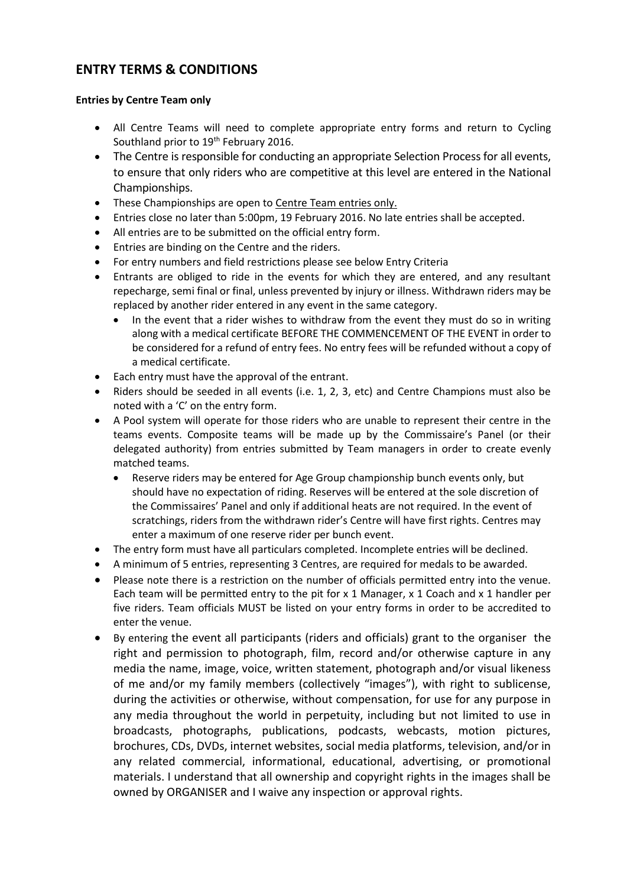# **ENTRY TERMS & CONDITIONS**

## **Entries by Centre Team only**

- All Centre Teams will need to complete appropriate entry forms and return to Cycling Southland prior to 19<sup>th</sup> February 2016.
- The Centre is responsible for conducting an appropriate Selection Process for all events, to ensure that only riders who are competitive at this level are entered in the National Championships.
- These Championships are open to Centre Team entries only.
- Entries close no later than 5:00pm, 19 February 2016. No late entries shall be accepted.
- All entries are to be submitted on the official entry form.
- Entries are binding on the Centre and the riders.
- For entry numbers and field restrictions please see below Entry Criteria
- Entrants are obliged to ride in the events for which they are entered, and any resultant repecharge, semi final or final, unless prevented by injury or illness. Withdrawn riders may be replaced by another rider entered in any event in the same category.
	- In the event that a rider wishes to withdraw from the event they must do so in writing along with a medical certificate BEFORE THE COMMENCEMENT OF THE EVENT in order to be considered for a refund of entry fees. No entry fees will be refunded without a copy of a medical certificate.
- Each entry must have the approval of the entrant.
- Riders should be seeded in all events (i.e. 1, 2, 3, etc) and Centre Champions must also be noted with a 'C' on the entry form.
- A Pool system will operate for those riders who are unable to represent their centre in the teams events. Composite teams will be made up by the Commissaire's Panel (or their delegated authority) from entries submitted by Team managers in order to create evenly matched teams.
	- Reserve riders may be entered for Age Group championship bunch events only, but should have no expectation of riding. Reserves will be entered at the sole discretion of the Commissaires' Panel and only if additional heats are not required. In the event of scratchings, riders from the withdrawn rider's Centre will have first rights. Centres may enter a maximum of one reserve rider per bunch event.
- The entry form must have all particulars completed. Incomplete entries will be declined.
- A minimum of 5 entries, representing 3 Centres, are required for medals to be awarded.
- Please note there is a restriction on the number of officials permitted entry into the venue. Each team will be permitted entry to the pit for  $x$  1 Manager,  $x$  1 Coach and  $x$  1 handler per five riders. Team officials MUST be listed on your entry forms in order to be accredited to enter the venue.
- By entering the event all participants (riders and officials) grant to the organiser the right and permission to photograph, film, record and/or otherwise capture in any media the name, image, voice, written statement, photograph and/or visual likeness of me and/or my family members (collectively "images"), with right to sublicense, during the activities or otherwise, without compensation, for use for any purpose in any media throughout the world in perpetuity, including but not limited to use in broadcasts, photographs, publications, podcasts, webcasts, motion pictures, brochures, CDs, DVDs, internet websites, social media platforms, television, and/or in any related commercial, informational, educational, advertising, or promotional materials. I understand that all ownership and copyright rights in the images shall be owned by ORGANISER and I waive any inspection or approval rights.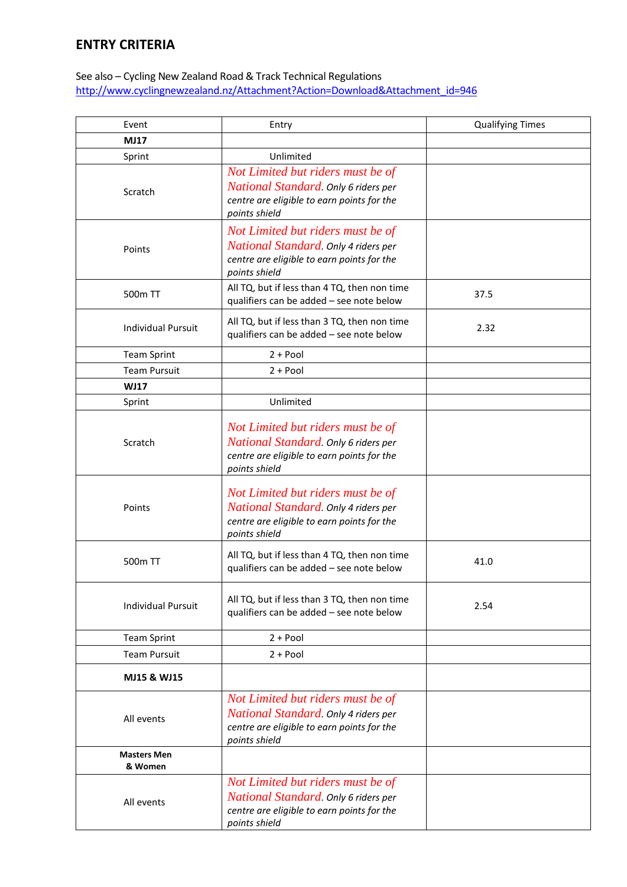# **ENTRY CRITERIA**

## See also – Cycling New Zealand Road & Track Technical Regulations [http://www.cyclingnewzealand.nz/Attachment?Action=Download&Attachment\\_id=946](http://www.cyclingnewzealand.nz/Attachment?Action=Download&Attachment_id=946)

| Event                         | Entry                                                                                                                                    | <b>Qualifying Times</b> |
|-------------------------------|------------------------------------------------------------------------------------------------------------------------------------------|-------------------------|
| <b>MJ17</b>                   |                                                                                                                                          |                         |
| Sprint                        | Unlimited                                                                                                                                |                         |
| Scratch                       | Not Limited but riders must be of<br>National Standard. Only 6 riders per<br>centre are eligible to earn points for the<br>points shield |                         |
| Points                        | Not Limited but riders must be of<br>National Standard. Only 4 riders per<br>centre are eligible to earn points for the<br>points shield |                         |
| 500m TT                       | All TQ, but if less than 4 TQ, then non time<br>qualifiers can be added - see note below                                                 | 37.5                    |
| <b>Individual Pursuit</b>     | All TQ, but if less than 3 TQ, then non time<br>qualifiers can be added - see note below                                                 | 2.32                    |
| <b>Team Sprint</b>            | $2 + Pool$                                                                                                                               |                         |
| <b>Team Pursuit</b>           | $2 + Pool$                                                                                                                               |                         |
| <b>WJ17</b>                   |                                                                                                                                          |                         |
| Sprint                        | Unlimited                                                                                                                                |                         |
| Scratch                       | Not Limited but riders must be of<br>National Standard. Only 6 riders per<br>centre are eligible to earn points for the<br>points shield |                         |
| Points                        | Not Limited but riders must be of<br>National Standard. Only 4 riders per<br>centre are eligible to earn points for the<br>points shield |                         |
| 500 <sub>m</sub> TT           | All TQ, but if less than 4 TQ, then non time<br>qualifiers can be added - see note below                                                 | 41.0                    |
| <b>Individual Pursuit</b>     | All TQ, but if less than 3 TQ, then non time<br>qualifiers can be added - see note below                                                 | 2.54                    |
| <b>Team Sprint</b>            | $2 + Pool$                                                                                                                               |                         |
| <b>Team Pursuit</b>           | $2 + Pool$                                                                                                                               |                         |
| MJ15 & WJ15                   |                                                                                                                                          |                         |
| All events                    | Not Limited but riders must be of<br>National Standard. Only 4 riders per<br>centre are eligible to earn points for the<br>points shield |                         |
| <b>Masters Men</b><br>& Women |                                                                                                                                          |                         |
| All events                    | Not Limited but riders must be of<br>National Standard. Only 6 riders per<br>centre are eligible to earn points for the<br>points shield |                         |